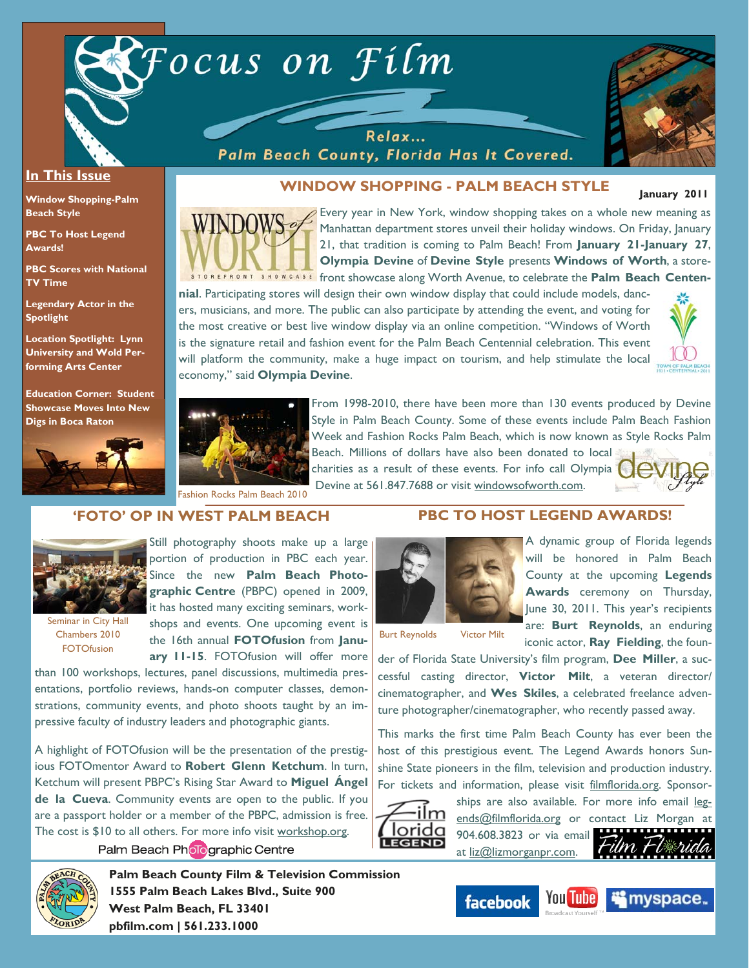

Relax... Palm Beach County, Florida Has It Covered.



#### **In This Issue**

**Window Shopping-Palm Beach Style** 

**PBC To Host Legend Awards!** 

**PBC Scores with National TV Time** 

**Legendary Actor in the Spotlight** 

**Location Spotlight: Lynn University and Wold Performing Arts Center** 

**Education Corner: Student Showcase Moves Into New Digs in Boca Raton**



**WINDOW SHOPPING - PALM BEACH STYLE** 

**January 2011** 



Every year in New York, window shopping takes on a whole new meaning as Manhattan department stores unveil their holiday windows. On Friday, January 21, that tradition is coming to Palm Beach! From **January 21-January 27**, **Olympia Devine** of **Devine Style** presents **Windows of Worth**, a store-EFRONT SHOWCASE front showcase along Worth Avenue, to celebrate the **Palm Beach Centen-**

**nial**. Participating stores will design their own window display that could include models, dancers, musicians, and more. The public can also participate by attending the event, and voting for the most creative or best live window display via an online competition. "Windows of Worth is the signature retail and fashion event for the Palm Beach Centennial celebration. This event will platform the community, make a huge impact on tourism, and help stimulate the local economy," said **Olympia Devine**.





From 1998-2010, there have been more than 130 events produced by Devine Style in Palm Beach County. Some of these events include Palm Beach Fashion Week and Fashion Rocks Palm Beach, which is now known as Style Rocks Palm

Beach. Millions of dollars have also been donated to local charities as a result of these events. For info call Olympia Fashion Rocks Palm Beach 2010<br>Fashion Rocks Palm Beach 2010

## **'FOTO' OP IN WEST PALM BEACH**



Seminar in City Hall Chambers 2010 **FOTOfusion** 

Still photography shoots make up a large portion of production in PBC each year. Since the new **Palm Beach Photographic Centre** (PBPC) opened in 2009, it has hosted many exciting seminars, workshops and events. One upcoming event is the 16th annual **FOTOfusion** from **January 11-15**. FOTOfusion will offer more

than 100 workshops, lectures, panel discussions, multimedia presentations, portfolio reviews, hands-on computer classes, demonstrations, community events, and photo shoots taught by an impressive faculty of industry leaders and photographic giants.

A highlight of FOTOfusion will be the presentation of the prestigious FOTOmentor Award to **Robert Glenn Ketchum**. In turn, Ketchum will present PBPC's Rising Star Award to **Miguel Ángel de la Cueva**. Community events are open to the public. If you are a passport holder or a member of the PBPC, admission is free. The cost is \$10 to all others. For more info visit workshop.org.

Palm Beach Pholographic Centre



Burt Reynolds Victor Milt

A dynamic group of Florida legends will be honored in Palm Beach County at the upcoming **Legends Awards** ceremony on Thursday, June 30, 2011. This year's recipients are: **Burt Reynolds**, an enduring iconic actor, **Ray Fielding**, the foun-

der of Florida State University's film program, **Dee Miller**, a successful casting director, **Victor Milt**, a veteran director/ cinematographer, and **Wes Skiles**, a celebrated freelance adventure photographer/cinematographer, who recently passed away.

**PBC TO HOST LEGEND AWARDS!** 

This marks the first time Palm Beach County has ever been the host of this prestigious event. The Legend Awards honors Sunshine State pioneers in the film, television and production industry. For tickets and information, please visit filmflorida.org. Sponsor-



ships are also available. For more info email legends@filmflorida.org or contact Liz Morgan at 904.608.3823 or via email at liz@lizmorganpr.com.



**Palm Beach County Film & Television Commission 1555 Palm Beach Lakes Blvd., Suite 900 West Palm Beach, FL 33401 pbfilm.com | 561.233.1000** 





**iii** myspace.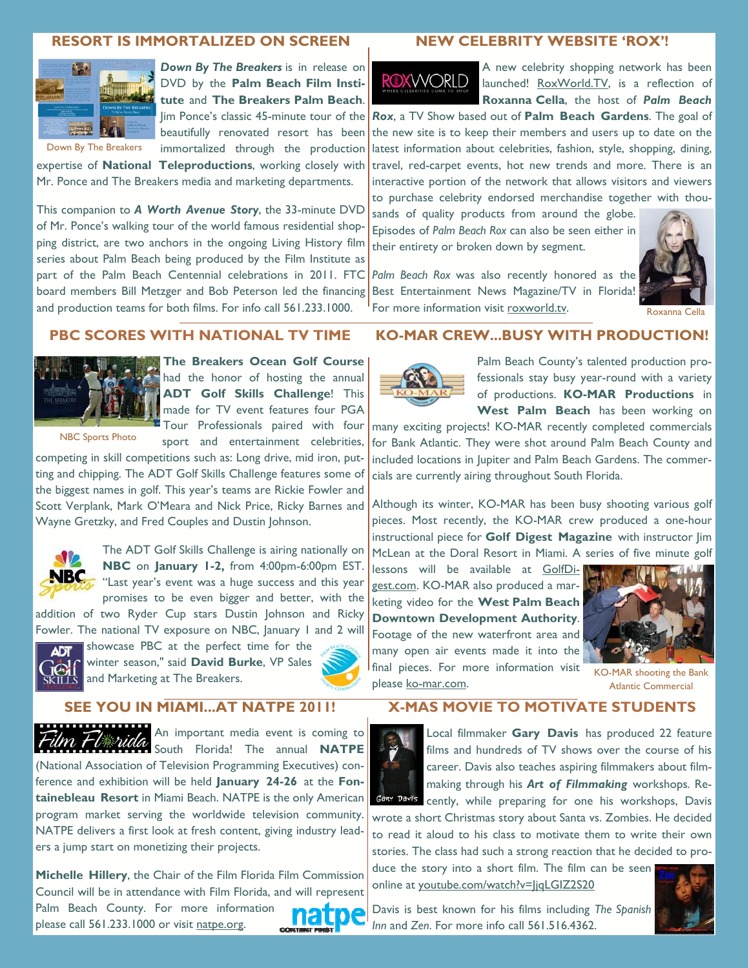#### **RESORT IS IMMORTALIZED ON SCREEN**



**Down By The Breakers** is in release on DVD by the **Palm Beach Film Institute** and **The Breakers Palm Beach**. beautifully renovated resort has been immortalized through the production

Down By The Breakers

expertise of **National Teleproductions**, working closely with Mr. Ponce and The Breakers media and marketing departments.

This companion to *A Worth Avenue Story*, the 33-minute DVD of Mr. Ponce's walking tour of the world famous residential shopping district, are two anchors in the ongoing Living History film series about Palm Beach being produced by the Film Institute as part of the Palm Beach Centennial celebrations in 2011. FTC board members Bill Metzger and Bob Peterson led the financing and production teams for both films. For info call 561.233.1000.

#### **NEW CELEBRITY WEBSITE 'ROX'!**

# **ROXWORLD**

A new celebrity shopping network has been launched! RoxWorld.TV, is a reflection of **Roxanna Cella**, the host of *Palm Beach* 

Jim Ponce's classic 45-minute tour of the **Rox**, a TV Show based out of **Palm Beach Gardens**. The goal of the new site is to keep their members and users up to date on the latest information about celebrities, fashion, style, shopping, dining, travel, red-carpet events, hot new trends and more. There is an interactive portion of the network that allows visitors and viewers to purchase celebrity endorsed merchandise together with thou-

> sands of quality products from around the globe. Episodes of *Palm Beach Rox* can also be seen either in their entirety or broken down by segment.



*Palm Beach Rox* was also recently honored as the Best Entertainment News Magazine/TV in Florida! For more information visit roxworld.tv. Roxanna Cella

#### **PBC SCORES WITH NATIONAL TV TIME**



**The Breakers Ocean Golf Course**  had the honor of hosting the annual **ADT Golf Skills Challenge**! This made for TV event features four PGA Tour Professionals paired with four

NBC Sports Photo

sport and entertainment celebrities, competing in skill competitions such as: Long drive, mid iron, putting and chipping. The ADT Golf Skills Challenge features some of the biggest names in golf. This year's teams are Rickie Fowler and

Scott Verplank, Mark O'Meara and Nick Price, Ricky Barnes and Wayne Gretzky, and Fred Couples and Dustin Johnson.



The ADT Golf Skills Challenge is airing nationally on **NBC** on **January 1-2,** from 4:00pm-6:00pm EST. "Last year's event was a huge success and this year promises to be even bigger and better, with the

addition of two Ryder Cup stars Dustin Johnson and Ricky Fowler. The national TV exposure on NBC, January 1 and 2 will



showcase PBC at the perfect time for the winter season," said **David Burke**, VP Sales and Marketing at The Breakers.

## **SEE YOU IN MIAMI...AT NATPE 2011!**



An important media event is coming to F*Uterida* South Florida! The annual NATPE

(National Association of Television Programming Executives) conference and exhibition will be held **January 24-26** at the **Fontainebleau Resort** in Miami Beach. NATPE is the only American program market serving the worldwide television community. NATPE delivers a first look at fresh content, giving industry leaders a jump start on monetizing their projects.

**Michelle Hillery**, the Chair of the Film Florida Film Commission Council will be in attendance with Film Florida, and will represent

Palm Beach County. For more information please call 561.233.1000 or visit natpe.org.



#### **KO-MAR CREW...BUSY WITH PRODUCTION!**



Palm Beach County's talented production professionals stay busy year-round with a variety of productions. **KO-MAR Productions** in **West Palm Beach** has been working on

many exciting projects! KO-MAR recently completed commercials for Bank Atlantic. They were shot around Palm Beach County and included locations in Jupiter and Palm Beach Gardens. The commercials are currently airing throughout South Florida.

Although its winter, KO-MAR has been busy shooting various golf pieces. Most recently, the KO-MAR crew produced a one-hour instructional piece for **Golf Digest Magazine** with instructor Jim McLean at the Doral Resort in Miami. A series of five minute golf

lessons will be available at GolfDigest.com. KO-MAR also produced a marketing video for the **West Palm Beach Downtown Development Authority**. Footage of the new waterfront area and many open air events made it into the final pieces. For more information visit final pieces. For more information visit  $_{\text{KO-MAR} \text{ shooting the Bank}}$ <br>please ko-mar.com.  $_{\text{Atlantic} \text{ Commercial}}$ 



Atlantic Commercial

## **X-MAS MOVIE TO MOTIVATE STUDENTS**

Local filmmaker **Gary Davis** has produced 22 feature films and hundreds of TV shows over the course of his career. Davis also teaches aspiring filmmakers about filmmaking through his *Art of Filmmaking* workshops. Re-GARY DAVIS cently, while preparing for one his workshops, Davis

wrote a short Christmas story about Santa vs. Zombies. He decided to read it aloud to his class to motivate them to write their own stories. The class had such a strong reaction that he decided to pro-

duce the story into a short film. The film can be seen online at youtube.com/watch?v=JjqLGIZ2S20



Davis is best known for his films including *The Spanish Inn* and *Zen*. For more info call 561.516.4362.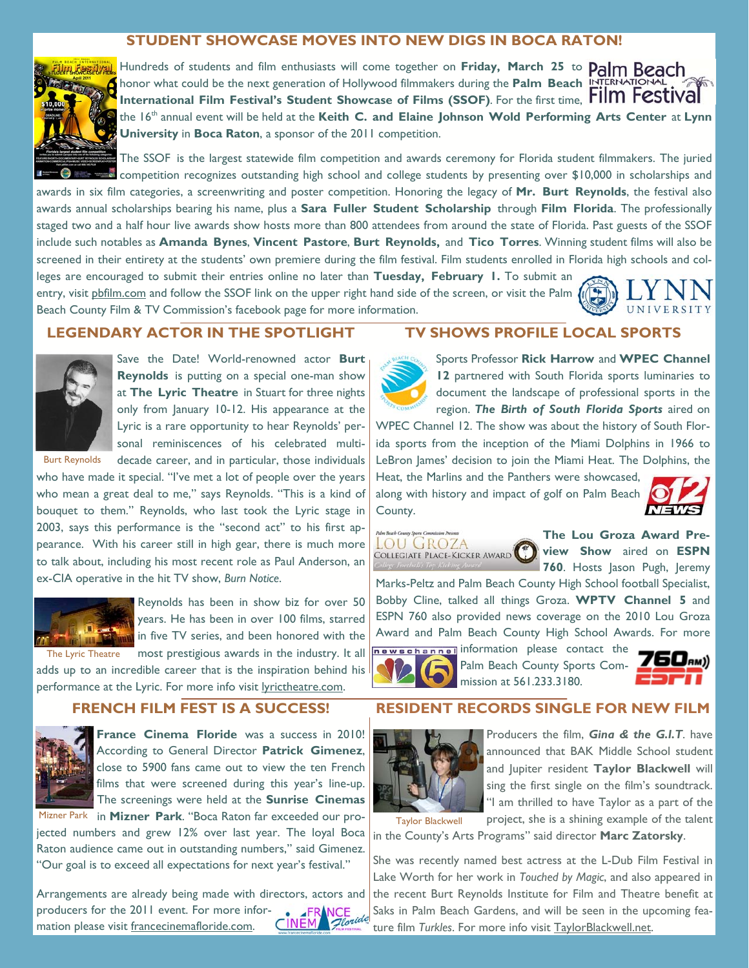## **STUDENT SHOWCASE MOVES INTO NEW DIGS IN BOCA RATON!**



Hundreds of students and film enthusiasts will come together on **Friday, March 25** to honor what could be the next generation of Hollywood filmmakers during the **Palm Beach International Film Festival's Student Showcase of Films (SSOF)**. For the first time, **Film Festival** the 16th annual event will be held at the **Keith C. and Elaine Johnson Wold Performing Arts Center** at **Lynn University** in **Boca Raton**, a sponsor of the 2011 competition.

The SSOF is the largest statewide film competition and awards ceremony for Florida student filmmakers. The juried competition recognizes outstanding high school and college students by presenting over \$10,000 in scholarships and

awards in six film categories, a screenwriting and poster competition. Honoring the legacy of **Mr. Burt Reynolds**, the festival also awards annual scholarships bearing his name, plus a **Sara Fuller Student Scholarship** through **Film Florida**. The professionally staged two and a half hour live awards show hosts more than 800 attendees from around the state of Florida. Past guests of the SSOF include such notables as **Amanda Bynes**, **Vincent Pastore**, **Burt Reynolds,** and **Tico Torres**. Winning student films will also be screened in their entirety at the students' own premiere during the film festival. Film students enrolled in Florida high schools and colleges are encouraged to submit their entries online no later than **Tuesday, February 1.** To submit an

entry, visit pbfilm.com and follow the SSOF link on the upper right hand side of the screen, or visit the Palm Beach County Film & TV Commission's facebook page for more information.

## UNIVERSITY

#### **LEGENDARY ACTOR IN THE SPOTLIGHT**



Save the Date! World-renowned actor **Burt Reynolds** is putting on a special one-man show at **The Lyric Theatre** in Stuart for three nights only from January 10-12. His appearance at the Lyric is a rare opportunity to hear Reynolds' personal reminiscences of his celebrated multi-Burt Reynolds decade career, and in particular, those individuals

who have made it special. "I've met a lot of people over the years who mean a great deal to me," says Reynolds. "This is a kind of bouquet to them." Reynolds, who last took the Lyric stage in 2003, says this performance is the "second act" to his first appearance. With his career still in high gear, there is much more to talk about, including his most recent role as Paul Anderson, an ex-CIA operative in the hit TV show, *Burn Notice*.



Reynolds has been in show biz for over 50 years. He has been in over 100 films, starred in five TV series, and been honored with the most prestigious awards in the industry. It all

adds up to an incredible career that is the inspiration behind his performance at the Lyric. For more info visit lyrictheatre.com.

## **FRENCH FILM FEST IS A SUCCESS!**



**France Cinema Floride** was a success in 2010! According to General Director **Patrick Gimenez**, close to 5900 fans came out to view the ten French films that were screened during this year's line-up. The screenings were held at the **Sunrise Cinemas** 

Mizner Park in Mizner Park. "Boca Raton far exceeded our projected numbers and grew 12% over last year. The loyal Boca Raton audience came out in outstanding numbers," said Gimenez. "Our goal is to exceed all expectations for next year's festival."

Arrangements are already being made with directors, actors and CINEM Aloride producers for the 2011 event. For more information please visit francecinemafloride.com.



Sports Professor **Rick Harrow** and **WPEC Channel 12** partnered with South Florida sports luminaries to document the landscape of professional sports in the region. *The Birth of South Florida Sports* aired on

WPEC Channel 12. The show was about the history of South Florida sports from the inception of the Miami Dolphins in 1966 to LeBron James' decision to join the Miami Heat. The Dolphins, the

Heat, the Marlins and the Panthers were showcased, along with history and impact of golf on Palm Beach County.



LOU GROZA COLLEGIATE PLACE-KICKER AWARD

**The Lou Groza Award Preview Show** aired on **ESPN 760**. Hosts Jason Pugh, Jeremy

Marks-Peltz and Palm Beach County High School football Specialist, Bobby Cline, talked all things Groza. **WPTV Channel 5** and ESPN 760 also provided news coverage on the 2010 Lou Groza Award and Palm Beach County High School Awards. For more newschannel information please contact the



Palm Beach County Sports Commission at 561.233.3180.



## **RESIDENT RECORDS SINGLE FOR NEW FILM**



Taylor Blackwell

Producers the film, *Gina & the G.I.T*. have announced that BAK Middle School student and Jupiter resident **Taylor Blackwell** will sing the first single on the film's soundtrack. "I am thrilled to have Taylor as a part of the project, she is a shining example of the talent

in the County's Arts Programs" said director **Marc Zatorsky**.

She was recently named best actress at the L-Dub Film Festival in Lake Worth for her work in *Touched by Magic*, and also appeared in the recent Burt Reynolds Institute for Film and Theatre benefit at Saks in Palm Beach Gardens, and will be seen in the upcoming feature film *Turkles*. For more info visit TaylorBlackwell.net.